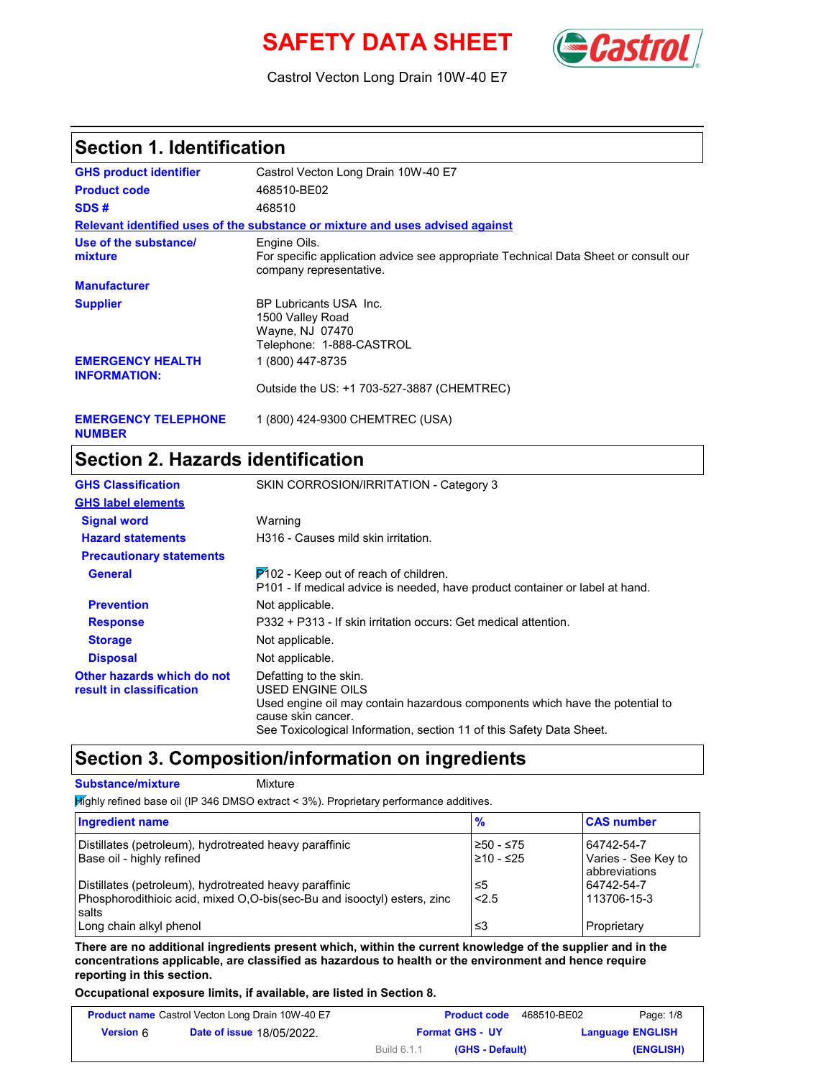# **SAFETY DATA SHEET** (Cast



Castrol Vecton Long Drain 10W-40 E7

### **Section 1. Identification**

| <b>GHS product identifier</b>                  | Castrol Vecton Long Drain 10W-40 E7                                                                                            |
|------------------------------------------------|--------------------------------------------------------------------------------------------------------------------------------|
| <b>Product code</b>                            | 468510-BE02                                                                                                                    |
| SDS#                                           | 468510                                                                                                                         |
|                                                | Relevant identified uses of the substance or mixture and uses advised against                                                  |
| Use of the substance/<br>mixture               | Engine Oils.<br>For specific application advice see appropriate Technical Data Sheet or consult our<br>company representative. |
| <b>Manufacturer</b>                            |                                                                                                                                |
| <b>Supplier</b>                                | BP Lubricants USA Inc.<br>1500 Valley Road<br>Wayne, NJ 07470<br>Telephone: 1-888-CASTROL                                      |
| <b>EMERGENCY HEALTH</b><br><b>INFORMATION:</b> | 1 (800) 447-8735                                                                                                               |
|                                                | Outside the US: +1 703-527-3887 (CHEMTREC)                                                                                     |
|                                                |                                                                                                                                |

**NUMBER**

### **EMERGENCY TELEPHONE** 1 (800) 424-9300 CHEMTREC (USA)

## **Section 2. Hazards identification**

| <b>GHS Classification</b>                              | SKIN CORROSION/IRRITATION - Category 3                                                                                                                                                                                   |
|--------------------------------------------------------|--------------------------------------------------------------------------------------------------------------------------------------------------------------------------------------------------------------------------|
| <b>GHS label elements</b>                              |                                                                                                                                                                                                                          |
| <b>Signal word</b>                                     | Warning                                                                                                                                                                                                                  |
| <b>Hazard statements</b>                               | H316 - Causes mild skin irritation.                                                                                                                                                                                      |
| <b>Precautionary statements</b>                        |                                                                                                                                                                                                                          |
| General                                                | $P$ 102 - Keep out of reach of children.<br>P101 - If medical advice is needed, have product container or label at hand.                                                                                                 |
| <b>Prevention</b>                                      | Not applicable.                                                                                                                                                                                                          |
| <b>Response</b>                                        | P332 + P313 - If skin irritation occurs: Get medical attention.                                                                                                                                                          |
| <b>Storage</b>                                         | Not applicable.                                                                                                                                                                                                          |
| <b>Disposal</b>                                        | Not applicable.                                                                                                                                                                                                          |
| Other hazards which do not<br>result in classification | Defatting to the skin.<br>USED ENGINE OILS<br>Used engine oil may contain hazardous components which have the potential to<br>cause skin cancer.<br>See Toxicological Information, section 11 of this Safety Data Sheet. |

### **Section 3. Composition/information on ingredients**

#### **Substance/mixture Mixture**

 $H$ ghly refined base oil (IP 346 DMSO extract < 3%). Proprietary performance additives.

| <b>Ingredient name</b>                                                                                                                     | $\frac{9}{6}$          | <b>CAS number</b>                                  |
|--------------------------------------------------------------------------------------------------------------------------------------------|------------------------|----------------------------------------------------|
| Distillates (petroleum), hydrotreated heavy paraffinic<br>Base oil - highly refined                                                        | ≥50 - ≤75<br>210 - ≤25 | 64742-54-7<br>Varies - See Key to<br>abbreviations |
| Distillates (petroleum), hydrotreated heavy paraffinic<br>Phosphorodithioic acid, mixed O,O-bis(sec-Bu and isooctyl) esters, zinc<br>salts | ≤5<br>2.5              | 64742-54-7<br>113706-15-3                          |
| Long chain alkyl phenol                                                                                                                    | ו≥ ≤                   | Proprietary                                        |

**There are no additional ingredients present which, within the current knowledge of the supplier and in the concentrations applicable, are classified as hazardous to health or the environment and hence require reporting in this section.**

**Occupational exposure limits, if available, are listed in Section 8.**

| <b>Product name</b> Castrol Vecton Long Drain 10W-40 E7 |                                  |             | <b>Product code</b>    | 468510-BE02 | Page: 1/8               |
|---------------------------------------------------------|----------------------------------|-------------|------------------------|-------------|-------------------------|
| Version <b>ନ</b>                                        | <b>Date of issue 18/05/2022.</b> |             | <b>Format GHS - UY</b> |             | <b>Language ENGLISH</b> |
|                                                         |                                  | Build 6.1.1 | (GHS - Default)        |             | (ENGLISH)               |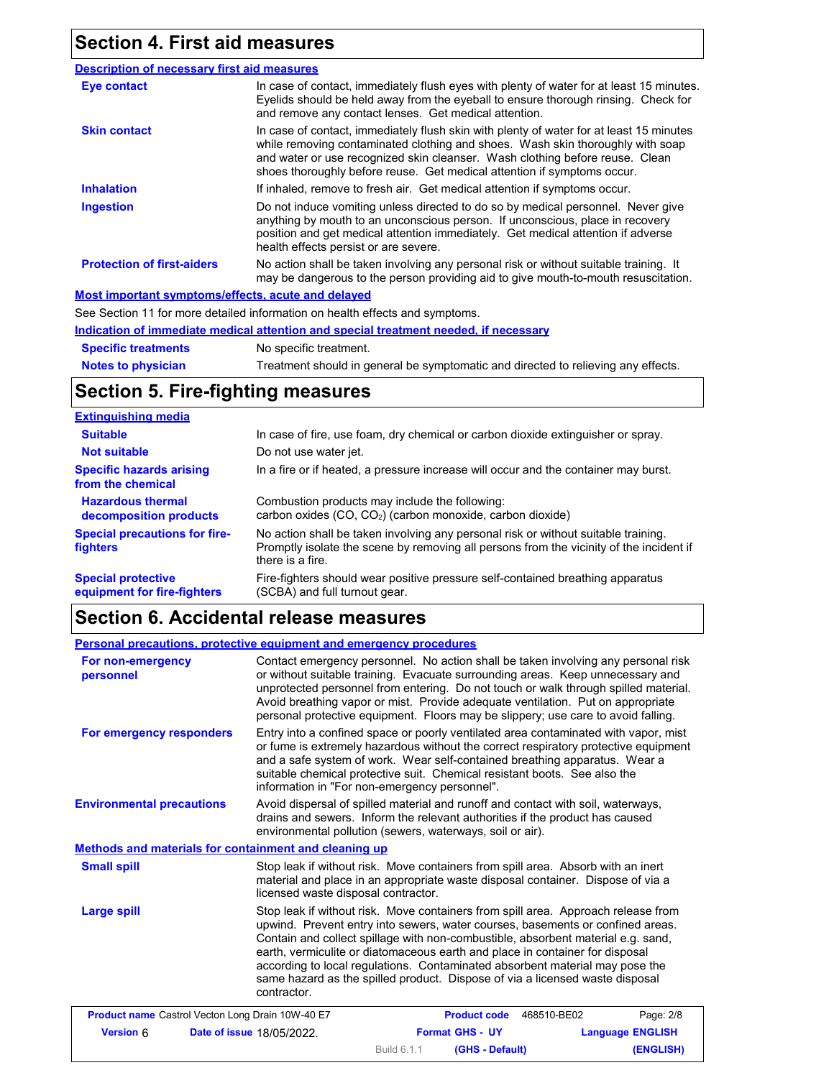# **Section 4. First aid measures**

| <b>Description of necessary first aid measures</b> |                                                                                                                                                                                                                                                                                                                                      |  |
|----------------------------------------------------|--------------------------------------------------------------------------------------------------------------------------------------------------------------------------------------------------------------------------------------------------------------------------------------------------------------------------------------|--|
| Eye contact                                        | In case of contact, immediately flush eyes with plenty of water for at least 15 minutes.<br>Eyelids should be held away from the eyeball to ensure thorough rinsing. Check for<br>and remove any contact lenses. Get medical attention.                                                                                              |  |
| <b>Skin contact</b>                                | In case of contact, immediately flush skin with plenty of water for at least 15 minutes<br>while removing contaminated clothing and shoes. Wash skin thoroughly with soap<br>and water or use recognized skin cleanser. Wash clothing before reuse. Clean<br>shoes thoroughly before reuse. Get medical attention if symptoms occur. |  |
| <b>Inhalation</b>                                  | If inhaled, remove to fresh air. Get medical attention if symptoms occur.                                                                                                                                                                                                                                                            |  |
| <b>Ingestion</b>                                   | Do not induce vomiting unless directed to do so by medical personnel. Never give<br>anything by mouth to an unconscious person. If unconscious, place in recovery<br>position and get medical attention immediately. Get medical attention if adverse<br>health effects persist or are severe.                                       |  |
| <b>Protection of first-aiders</b>                  | No action shall be taken involving any personal risk or without suitable training. It<br>may be dangerous to the person providing aid to give mouth-to-mouth resuscitation.                                                                                                                                                          |  |
| Most important symptoms/effects, acute and delayed |                                                                                                                                                                                                                                                                                                                                      |  |
|                                                    | See Section 11 for more detailed information on health effects and symptoms.                                                                                                                                                                                                                                                         |  |
|                                                    | Indication of immediate medical attention and special treatment needed, if necessary                                                                                                                                                                                                                                                 |  |
| <b>Snacific trastmants</b>                         | No specific treatment                                                                                                                                                                                                                                                                                                                |  |

**Notes to physician Specific treatments** No specific treatment. Treatment should in general be symptomatic and directed to relieving any effects.

## **Section 5. Fire-fighting measures**

| <b>Extinguishing media</b>                               |                                                                                                                                                                                                   |
|----------------------------------------------------------|---------------------------------------------------------------------------------------------------------------------------------------------------------------------------------------------------|
| <b>Suitable</b>                                          | In case of fire, use foam, dry chemical or carbon dioxide extinguisher or spray.                                                                                                                  |
| <b>Not suitable</b>                                      | Do not use water jet.                                                                                                                                                                             |
| <b>Specific hazards arising</b><br>from the chemical     | In a fire or if heated, a pressure increase will occur and the container may burst.                                                                                                               |
| <b>Hazardous thermal</b><br>decomposition products       | Combustion products may include the following:<br>carbon oxides $(CO, CO2)$ (carbon monoxide, carbon dioxide)                                                                                     |
| <b>Special precautions for fire-</b><br>fighters         | No action shall be taken involving any personal risk or without suitable training.<br>Promptly isolate the scene by removing all persons from the vicinity of the incident if<br>there is a fire. |
| <b>Special protective</b><br>equipment for fire-fighters | Fire-fighters should wear positive pressure self-contained breathing apparatus<br>(SCBA) and full turnout gear.                                                                                   |

# **Section 6. Accidental release measures**

|                                                         | <b>Personal precautions, protective equipment and emergency procedures</b>                                                                                                                                                                                                                                                                                                                                                                                                                                             |
|---------------------------------------------------------|------------------------------------------------------------------------------------------------------------------------------------------------------------------------------------------------------------------------------------------------------------------------------------------------------------------------------------------------------------------------------------------------------------------------------------------------------------------------------------------------------------------------|
| For non-emergency<br>personnel                          | Contact emergency personnel. No action shall be taken involving any personal risk<br>or without suitable training. Evacuate surrounding areas. Keep unnecessary and<br>unprotected personnel from entering. Do not touch or walk through spilled material.<br>Avoid breathing vapor or mist. Provide adequate ventilation. Put on appropriate<br>personal protective equipment. Floors may be slippery; use care to avoid falling.                                                                                     |
| For emergency responders                                | Entry into a confined space or poorly ventilated area contaminated with vapor, mist<br>or fume is extremely hazardous without the correct respiratory protective equipment<br>and a safe system of work. Wear self-contained breathing apparatus. Wear a<br>suitable chemical protective suit. Chemical resistant boots. See also the<br>information in "For non-emergency personnel".                                                                                                                                 |
| <b>Environmental precautions</b>                        | Avoid dispersal of spilled material and runoff and contact with soil, waterways,<br>drains and sewers. Inform the relevant authorities if the product has caused<br>environmental pollution (sewers, waterways, soil or air).                                                                                                                                                                                                                                                                                          |
|                                                         | Methods and materials for containment and cleaning up                                                                                                                                                                                                                                                                                                                                                                                                                                                                  |
| <b>Small spill</b>                                      | Stop leak if without risk. Move containers from spill area. Absorb with an inert<br>material and place in an appropriate waste disposal container. Dispose of via a<br>licensed waste disposal contractor.                                                                                                                                                                                                                                                                                                             |
| <b>Large spill</b>                                      | Stop leak if without risk. Move containers from spill area. Approach release from<br>upwind. Prevent entry into sewers, water courses, basements or confined areas.<br>Contain and collect spillage with non-combustible, absorbent material e.g. sand,<br>earth, vermiculite or diatomaceous earth and place in container for disposal<br>according to local regulations. Contaminated absorbent material may pose the<br>same hazard as the spilled product. Dispose of via a licensed waste disposal<br>contractor. |
| <b>Product name</b> Castrol Vecton Long Drain 10W-40 E7 | <b>Product code</b><br>468510-BE02<br>Page: 2/8                                                                                                                                                                                                                                                                                                                                                                                                                                                                        |
| <b>Version 6</b>                                        | <b>Format GHS - UY</b><br><b>Language ENGLISH</b><br>Date of issue 18/05/2022.                                                                                                                                                                                                                                                                                                                                                                                                                                         |
|                                                         | (ENGLISH)<br>Build 6.1.1<br>(GHS - Default)                                                                                                                                                                                                                                                                                                                                                                                                                                                                            |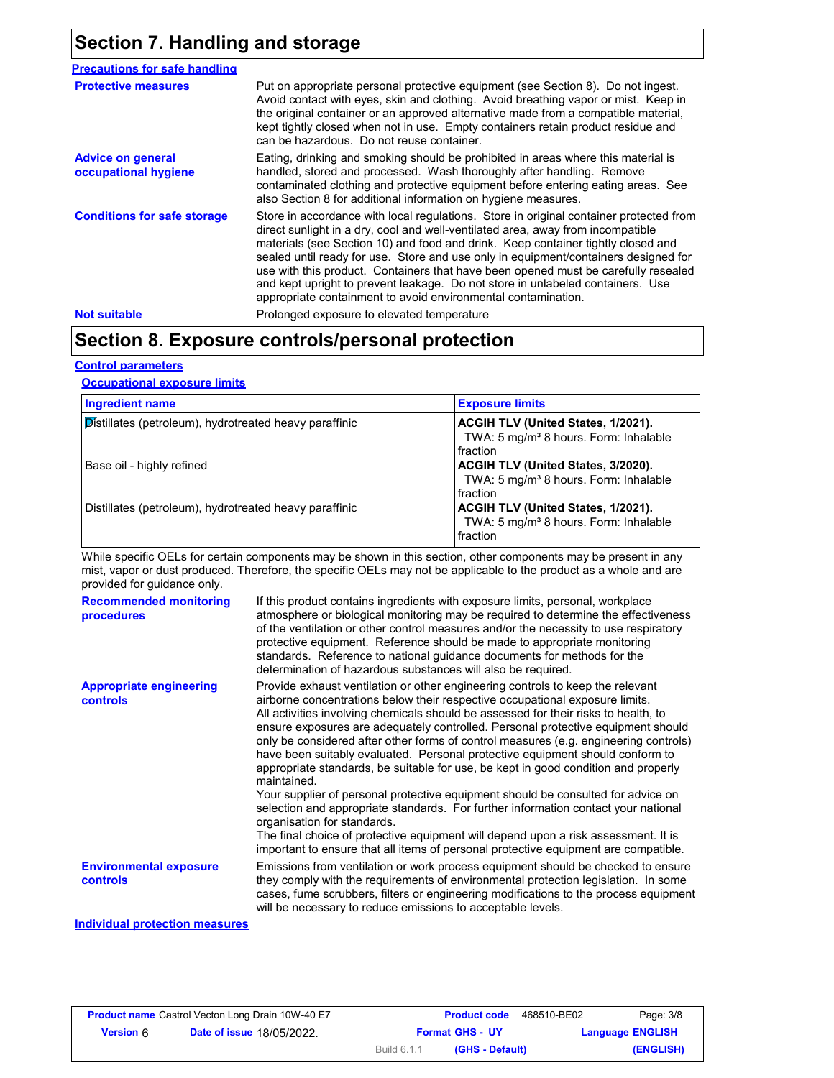# **Section 7. Handling and storage**

| Put on appropriate personal protective equipment (see Section 8). Do not ingest.<br><b>Protective measures</b><br>Avoid contact with eyes, skin and clothing. Avoid breathing vapor or mist. Keep in<br>the original container or an approved alternative made from a compatible material,<br>kept tightly closed when not in use. Empty containers retain product residue and<br>can be hazardous. Do not reuse container.<br>Eating, drinking and smoking should be prohibited in areas where this material is<br><b>Advice on general</b><br>handled, stored and processed. Wash thoroughly after handling. Remove<br>occupational hygiene<br>contaminated clothing and protective equipment before entering eating areas. See<br>also Section 8 for additional information on hygiene measures.<br><b>Conditions for safe storage</b><br>direct sunlight in a dry, cool and well-ventilated area, away from incompatible<br>materials (see Section 10) and food and drink. Keep container tightly closed and<br>sealed until ready for use. Store and use only in equipment/containers designed for<br>and kept upright to prevent leakage. Do not store in unlabeled containers. Use<br>appropriate containment to avoid environmental contamination.<br>Prolonged exposure to elevated temperature<br><b>Not suitable</b> | <b>Precautions for safe handling</b> |                                                                                                                                                                              |
|---------------------------------------------------------------------------------------------------------------------------------------------------------------------------------------------------------------------------------------------------------------------------------------------------------------------------------------------------------------------------------------------------------------------------------------------------------------------------------------------------------------------------------------------------------------------------------------------------------------------------------------------------------------------------------------------------------------------------------------------------------------------------------------------------------------------------------------------------------------------------------------------------------------------------------------------------------------------------------------------------------------------------------------------------------------------------------------------------------------------------------------------------------------------------------------------------------------------------------------------------------------------------------------------------------------------------------|--------------------------------------|------------------------------------------------------------------------------------------------------------------------------------------------------------------------------|
|                                                                                                                                                                                                                                                                                                                                                                                                                                                                                                                                                                                                                                                                                                                                                                                                                                                                                                                                                                                                                                                                                                                                                                                                                                                                                                                                 |                                      |                                                                                                                                                                              |
|                                                                                                                                                                                                                                                                                                                                                                                                                                                                                                                                                                                                                                                                                                                                                                                                                                                                                                                                                                                                                                                                                                                                                                                                                                                                                                                                 |                                      |                                                                                                                                                                              |
|                                                                                                                                                                                                                                                                                                                                                                                                                                                                                                                                                                                                                                                                                                                                                                                                                                                                                                                                                                                                                                                                                                                                                                                                                                                                                                                                 |                                      | Store in accordance with local regulations. Store in original container protected from<br>use with this product. Containers that have been opened must be carefully resealed |
|                                                                                                                                                                                                                                                                                                                                                                                                                                                                                                                                                                                                                                                                                                                                                                                                                                                                                                                                                                                                                                                                                                                                                                                                                                                                                                                                 |                                      |                                                                                                                                                                              |

# **Section 8. Exposure controls/personal protection**

#### **Control parameters**

#### **Occupational exposure limits**

| <b>Ingredient name</b>                                        | <b>Exposure limits</b>                                                                                     |
|---------------------------------------------------------------|------------------------------------------------------------------------------------------------------------|
| <b>Distillates (petroleum), hydrotreated heavy paraffinic</b> | ACGIH TLV (United States, 1/2021).<br>TWA: 5 mg/m <sup>3</sup> 8 hours. Form: Inhalable<br>fraction        |
| Base oil - highly refined                                     | <b>ACGIH TLV (United States, 3/2020).</b><br>TWA: 5 mg/m <sup>3</sup> 8 hours. Form: Inhalable<br>fraction |
| Distillates (petroleum), hydrotreated heavy paraffinic        | ACGIH TLV (United States, 1/2021).<br>TWA: 5 mg/m <sup>3</sup> 8 hours. Form: Inhalable<br>fraction        |

While specific OELs for certain components may be shown in this section, other components may be present in any mist, vapor or dust produced. Therefore, the specific OELs may not be applicable to the product as a whole and are provided for guidance only.

| <b>Recommended monitoring</b><br>procedures       | If this product contains ingredients with exposure limits, personal, workplace<br>atmosphere or biological monitoring may be required to determine the effectiveness<br>of the ventilation or other control measures and/or the necessity to use respiratory<br>protective equipment. Reference should be made to appropriate monitoring<br>standards. Reference to national guidance documents for methods for the<br>determination of hazardous substances will also be required.                                                                                                                                                                                                                                                                                                                                                                                                                                                                                                                           |
|---------------------------------------------------|---------------------------------------------------------------------------------------------------------------------------------------------------------------------------------------------------------------------------------------------------------------------------------------------------------------------------------------------------------------------------------------------------------------------------------------------------------------------------------------------------------------------------------------------------------------------------------------------------------------------------------------------------------------------------------------------------------------------------------------------------------------------------------------------------------------------------------------------------------------------------------------------------------------------------------------------------------------------------------------------------------------|
| <b>Appropriate engineering</b><br><b>controls</b> | Provide exhaust ventilation or other engineering controls to keep the relevant<br>airborne concentrations below their respective occupational exposure limits.<br>All activities involving chemicals should be assessed for their risks to health, to<br>ensure exposures are adequately controlled. Personal protective equipment should<br>only be considered after other forms of control measures (e.g. engineering controls)<br>have been suitably evaluated. Personal protective equipment should conform to<br>appropriate standards, be suitable for use, be kept in good condition and properly<br>maintained.<br>Your supplier of personal protective equipment should be consulted for advice on<br>selection and appropriate standards. For further information contact your national<br>organisation for standards.<br>The final choice of protective equipment will depend upon a risk assessment. It is<br>important to ensure that all items of personal protective equipment are compatible. |
| <b>Environmental exposure</b><br><b>controls</b>  | Emissions from ventilation or work process equipment should be checked to ensure<br>they comply with the requirements of environmental protection legislation. In some<br>cases, fume scrubbers, filters or engineering modifications to the process equipment<br>will be necessary to reduce emissions to acceptable levels.                                                                                                                                                                                                                                                                                                                                                                                                                                                                                                                                                                                                                                                                                 |

#### **Individual protection measures**

| <b>Product name</b> Castrol Vecton Long Drain 10W-40 E7 |                                  |             | <b>Product code</b>    | 468510-BE02 | Page: 3/8               |
|---------------------------------------------------------|----------------------------------|-------------|------------------------|-------------|-------------------------|
| <b>Version 6</b>                                        | <b>Date of issue 18/05/2022.</b> |             | <b>Format GHS - UY</b> |             | <b>Language ENGLISH</b> |
|                                                         |                                  | Build 6.1.1 | (GHS - Default)        |             | (ENGLISH)               |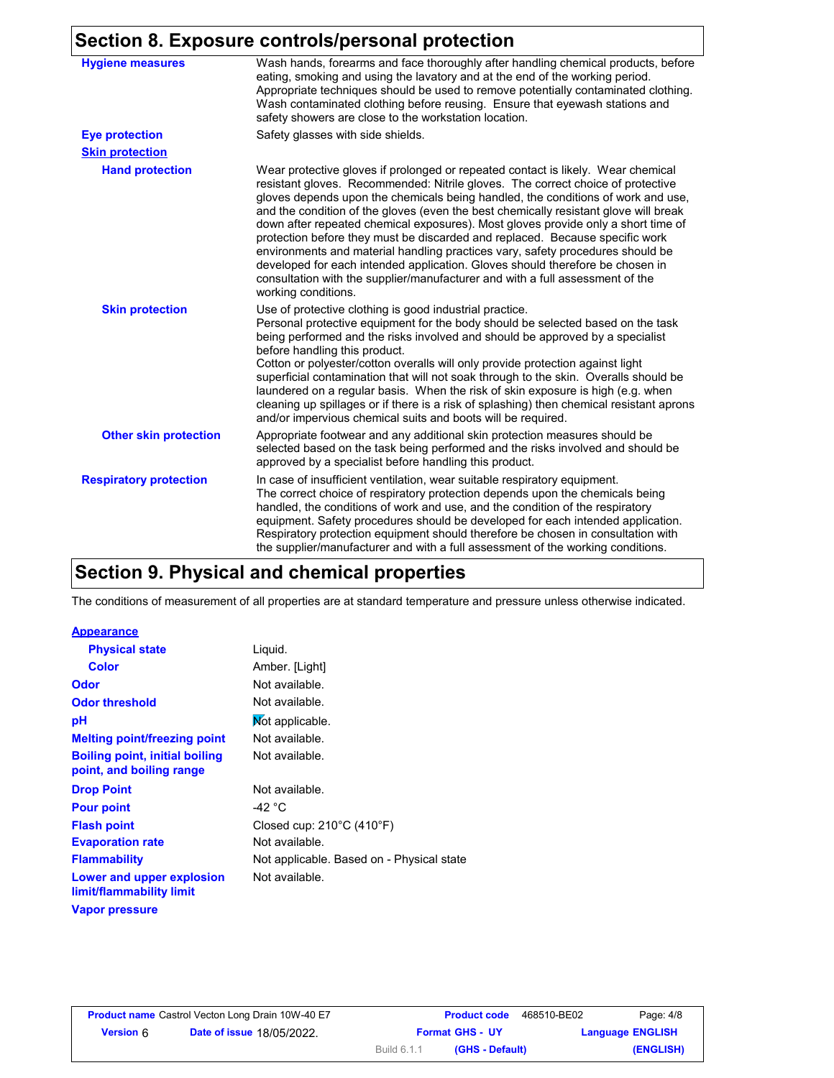### **Section 8. Exposure controls/personal protection**

| <b>Hygiene measures</b>       | Wash hands, forearms and face thoroughly after handling chemical products, before<br>eating, smoking and using the lavatory and at the end of the working period.<br>Appropriate techniques should be used to remove potentially contaminated clothing.<br>Wash contaminated clothing before reusing. Ensure that eyewash stations and<br>safety showers are close to the workstation location.                                                                                                                                                                                                                                                                                                                                                                                                 |
|-------------------------------|-------------------------------------------------------------------------------------------------------------------------------------------------------------------------------------------------------------------------------------------------------------------------------------------------------------------------------------------------------------------------------------------------------------------------------------------------------------------------------------------------------------------------------------------------------------------------------------------------------------------------------------------------------------------------------------------------------------------------------------------------------------------------------------------------|
| <b>Eye protection</b>         | Safety glasses with side shields.                                                                                                                                                                                                                                                                                                                                                                                                                                                                                                                                                                                                                                                                                                                                                               |
| <b>Skin protection</b>        |                                                                                                                                                                                                                                                                                                                                                                                                                                                                                                                                                                                                                                                                                                                                                                                                 |
| <b>Hand protection</b>        | Wear protective gloves if prolonged or repeated contact is likely. Wear chemical<br>resistant gloves. Recommended: Nitrile gloves. The correct choice of protective<br>gloves depends upon the chemicals being handled, the conditions of work and use,<br>and the condition of the gloves (even the best chemically resistant glove will break<br>down after repeated chemical exposures). Most gloves provide only a short time of<br>protection before they must be discarded and replaced. Because specific work<br>environments and material handling practices vary, safety procedures should be<br>developed for each intended application. Gloves should therefore be chosen in<br>consultation with the supplier/manufacturer and with a full assessment of the<br>working conditions. |
| <b>Skin protection</b>        | Use of protective clothing is good industrial practice.<br>Personal protective equipment for the body should be selected based on the task<br>being performed and the risks involved and should be approved by a specialist<br>before handling this product.<br>Cotton or polyester/cotton overalls will only provide protection against light<br>superficial contamination that will not soak through to the skin. Overalls should be<br>laundered on a regular basis. When the risk of skin exposure is high (e.g. when<br>cleaning up spillages or if there is a risk of splashing) then chemical resistant aprons<br>and/or impervious chemical suits and boots will be required.                                                                                                           |
| <b>Other skin protection</b>  | Appropriate footwear and any additional skin protection measures should be<br>selected based on the task being performed and the risks involved and should be<br>approved by a specialist before handling this product.                                                                                                                                                                                                                                                                                                                                                                                                                                                                                                                                                                         |
| <b>Respiratory protection</b> | In case of insufficient ventilation, wear suitable respiratory equipment.<br>The correct choice of respiratory protection depends upon the chemicals being<br>handled, the conditions of work and use, and the condition of the respiratory<br>equipment. Safety procedures should be developed for each intended application.<br>Respiratory protection equipment should therefore be chosen in consultation with<br>the supplier/manufacturer and with a full assessment of the working conditions.                                                                                                                                                                                                                                                                                           |

# **Section 9. Physical and chemical properties**

The conditions of measurement of all properties are at standard temperature and pressure unless otherwise indicated.

#### **Appearance**

| <b>Physical state</b>                                             | Liquid.                                        |
|-------------------------------------------------------------------|------------------------------------------------|
| Color                                                             | Amber. [Light]                                 |
| Odor                                                              | Not available.                                 |
| <b>Odor threshold</b>                                             | Not available.                                 |
| рH                                                                | Mot applicable.                                |
| <b>Melting point/freezing point</b>                               | Not available.                                 |
| <b>Boiling point, initial boiling</b><br>point, and boiling range | Not available.                                 |
| <b>Drop Point</b>                                                 | Not available.                                 |
| <b>Pour point</b>                                                 | -42 °C                                         |
| <b>Flash point</b>                                                | Closed cup: $210^{\circ}$ C (410 $^{\circ}$ F) |
| <b>Evaporation rate</b>                                           | Not available.                                 |
| <b>Flammability</b>                                               | Not applicable. Based on - Physical state      |
| Lower and upper explosion<br>limit/flammability limit             | Not available.                                 |
| <b>Vapor pressure</b>                                             |                                                |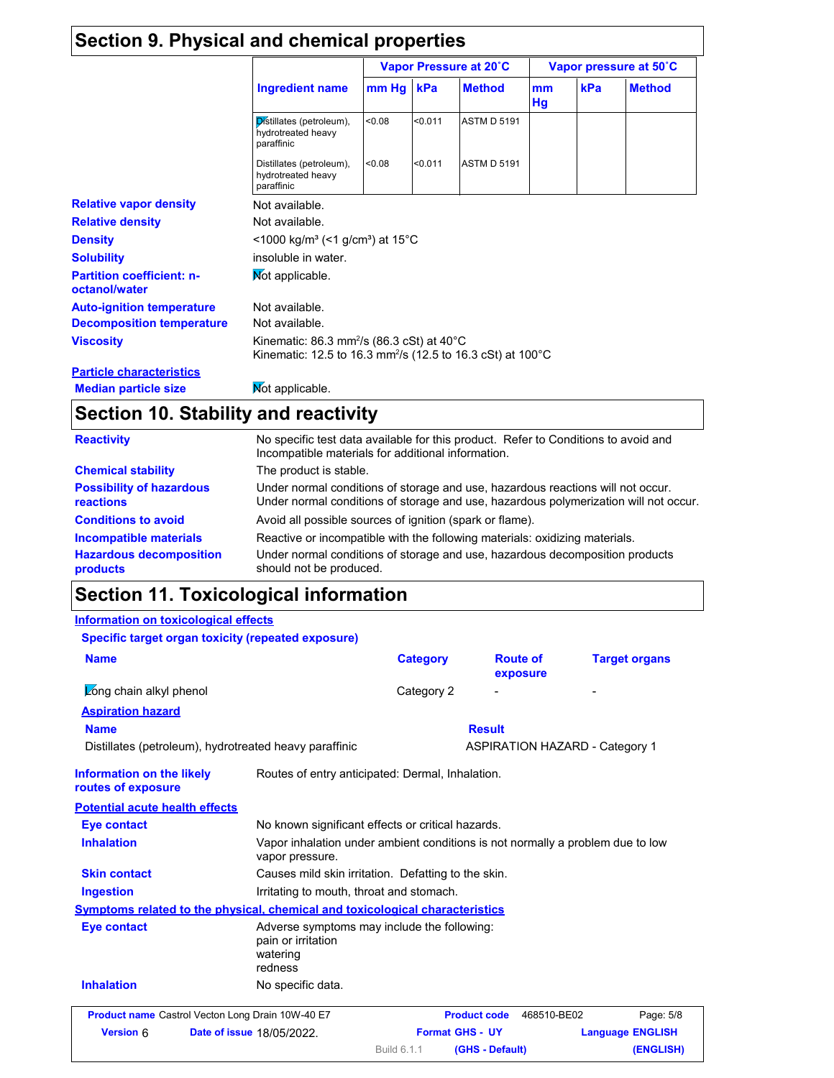## **Section 9. Physical and chemical properties**

|                                                   |                                                                                                                                             |        | Vapor Pressure at 20°C |                    | Vapor pressure at 50°C |     |               |
|---------------------------------------------------|---------------------------------------------------------------------------------------------------------------------------------------------|--------|------------------------|--------------------|------------------------|-----|---------------|
|                                                   | Ingredient name                                                                                                                             | mm Hg  | kPa                    | <b>Method</b>      | mm<br>Hg               | kPa | <b>Method</b> |
|                                                   | Distillates (petroleum),<br>hydrotreated heavy<br>paraffinic                                                                                | < 0.08 | < 0.011                | <b>ASTM D 5191</b> |                        |     |               |
|                                                   | Distillates (petroleum),<br>hydrotreated heavy<br>paraffinic                                                                                | < 0.08 | < 0.011                | <b>ASTM D 5191</b> |                        |     |               |
| <b>Relative vapor density</b>                     | Not available.                                                                                                                              |        |                        |                    |                        |     |               |
| <b>Relative density</b>                           | Not available.                                                                                                                              |        |                        |                    |                        |     |               |
| <b>Density</b>                                    | $\leq$ 1000 kg/m <sup>3</sup> (<1 g/cm <sup>3</sup> ) at 15 <sup>°</sup> C                                                                  |        |                        |                    |                        |     |               |
| <b>Solubility</b>                                 | insoluble in water.                                                                                                                         |        |                        |                    |                        |     |               |
| <b>Partition coefficient: n-</b><br>octanol/water | Mot applicable.                                                                                                                             |        |                        |                    |                        |     |               |
| <b>Auto-ignition temperature</b>                  | Not available.                                                                                                                              |        |                        |                    |                        |     |               |
| <b>Decomposition temperature</b>                  | Not available.                                                                                                                              |        |                        |                    |                        |     |               |
| <b>Viscosity</b>                                  | Kinematic: 86.3 mm <sup>2</sup> /s (86.3 cSt) at 40 $^{\circ}$ C<br>Kinematic: 12.5 to 16.3 mm <sup>2</sup> /s (12.5 to 16.3 cSt) at 100 °C |        |                        |                    |                        |     |               |
| <b>Particle characteristics</b>                   |                                                                                                                                             |        |                        |                    |                        |     |               |
| <b>Median particle size</b>                       | Mot applicable.                                                                                                                             |        |                        |                    |                        |     |               |

## **Section 10. Stability and reactivity**

| <b>Reactivity</b>                            | No specific test data available for this product. Refer to Conditions to avoid and<br>Incompatible materials for additional information.                                |
|----------------------------------------------|-------------------------------------------------------------------------------------------------------------------------------------------------------------------------|
| <b>Chemical stability</b>                    | The product is stable.                                                                                                                                                  |
| <b>Possibility of hazardous</b><br>reactions | Under normal conditions of storage and use, hazardous reactions will not occur.<br>Under normal conditions of storage and use, hazardous polymerization will not occur. |
| <b>Conditions to avoid</b>                   | Avoid all possible sources of ignition (spark or flame).                                                                                                                |
| Incompatible materials                       | Reactive or incompatible with the following materials: oxidizing materials.                                                                                             |
| <b>Hazardous decomposition</b><br>products   | Under normal conditions of storage and use, hazardous decomposition products<br>should not be produced.                                                                 |

# **Section 11. Toxicological information**

#### **Information on toxicological effects**

| <b>Specific target organ toxicity (repeated exposure)</b>                    |                                                                                          |                                                                                |                                       |                         |
|------------------------------------------------------------------------------|------------------------------------------------------------------------------------------|--------------------------------------------------------------------------------|---------------------------------------|-------------------------|
| <b>Name</b>                                                                  |                                                                                          | <b>Category</b>                                                                | <b>Route of</b><br>exposure           | <b>Target organs</b>    |
| Long chain alkyl phenol                                                      |                                                                                          | Category 2                                                                     |                                       |                         |
| <b>Aspiration hazard</b>                                                     |                                                                                          |                                                                                |                                       |                         |
| <b>Name</b>                                                                  |                                                                                          |                                                                                | <b>Result</b>                         |                         |
| Distillates (petroleum), hydrotreated heavy paraffinic                       |                                                                                          |                                                                                | <b>ASPIRATION HAZARD - Category 1</b> |                         |
| <b>Information on the likely</b><br>routes of exposure                       | Routes of entry anticipated: Dermal, Inhalation.                                         |                                                                                |                                       |                         |
| <b>Potential acute health effects</b>                                        |                                                                                          |                                                                                |                                       |                         |
| Eye contact                                                                  | No known significant effects or critical hazards.                                        |                                                                                |                                       |                         |
| <b>Inhalation</b>                                                            | vapor pressure.                                                                          | Vapor inhalation under ambient conditions is not normally a problem due to low |                                       |                         |
| <b>Skin contact</b>                                                          | Causes mild skin irritation. Defatting to the skin.                                      |                                                                                |                                       |                         |
| <b>Ingestion</b>                                                             | Irritating to mouth, throat and stomach.                                                 |                                                                                |                                       |                         |
| Symptoms related to the physical, chemical and toxicological characteristics |                                                                                          |                                                                                |                                       |                         |
| Eye contact                                                                  | Adverse symptoms may include the following:<br>pain or irritation<br>watering<br>redness |                                                                                |                                       |                         |
| <b>Inhalation</b>                                                            | No specific data.                                                                        |                                                                                |                                       |                         |
| <b>Product name</b> Castrol Vecton Long Drain 10W-40 E7                      |                                                                                          |                                                                                | <b>Product code</b><br>468510-BE02    | Page: 5/8               |
| <b>Version 6</b>                                                             | Date of issue 18/05/2022.                                                                | <b>Format GHS - UY</b>                                                         |                                       | <b>Language ENGLISH</b> |
|                                                                              |                                                                                          | Build 6.1.1                                                                    | (GHS - Default)                       | (ENGLISH)               |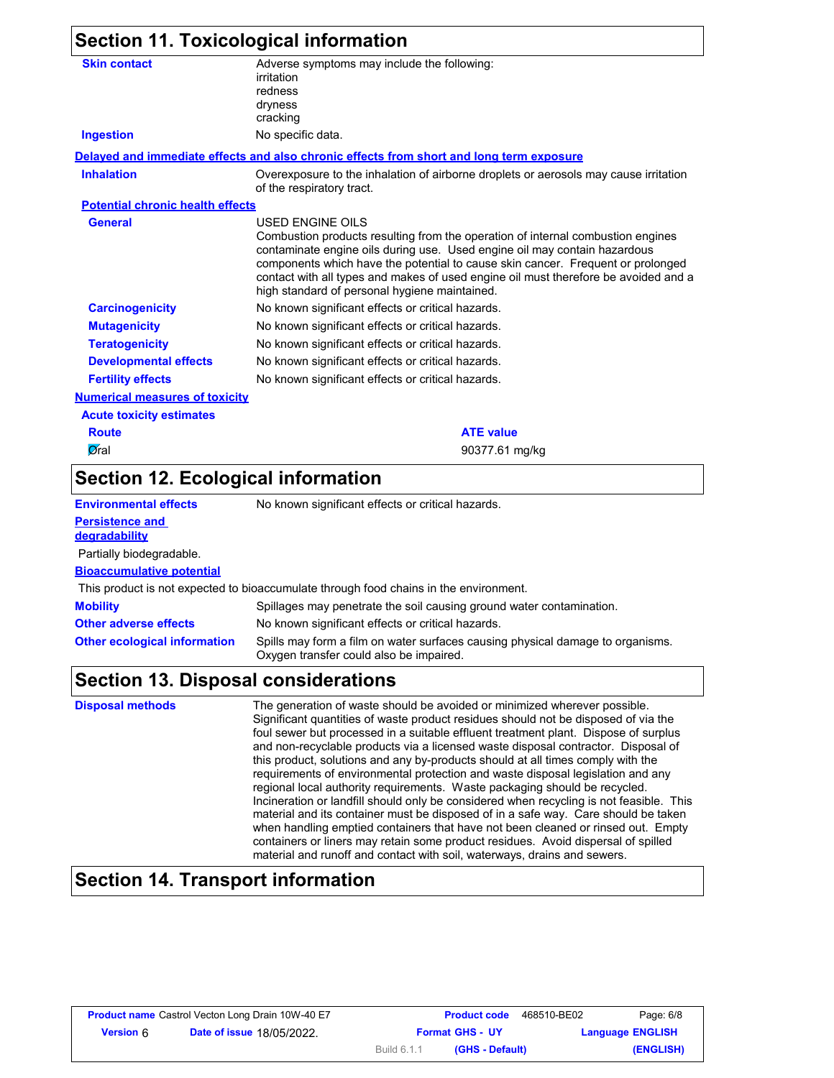### **Section 11. Toxicological information**

| <b>Skin contact</b>                     | Adverse symptoms may include the following:<br>irritation<br>redness<br>dryness<br>cracking                                                                                                                                                                                                                                                                                                                        |
|-----------------------------------------|--------------------------------------------------------------------------------------------------------------------------------------------------------------------------------------------------------------------------------------------------------------------------------------------------------------------------------------------------------------------------------------------------------------------|
| <b>Ingestion</b>                        | No specific data.                                                                                                                                                                                                                                                                                                                                                                                                  |
|                                         | Delayed and immediate effects and also chronic effects from short and long term exposure                                                                                                                                                                                                                                                                                                                           |
| <b>Inhalation</b>                       | Overexposure to the inhalation of airborne droplets or aerosols may cause irritation<br>of the respiratory tract.                                                                                                                                                                                                                                                                                                  |
| <b>Potential chronic health effects</b> |                                                                                                                                                                                                                                                                                                                                                                                                                    |
| <b>General</b>                          | <b>USED ENGINE OILS</b><br>Combustion products resulting from the operation of internal combustion engines<br>contaminate engine oils during use. Used engine oil may contain hazardous<br>components which have the potential to cause skin cancer. Frequent or prolonged<br>contact with all types and makes of used engine oil must therefore be avoided and a<br>high standard of personal hygiene maintained. |
| <b>Carcinogenicity</b>                  | No known significant effects or critical hazards.                                                                                                                                                                                                                                                                                                                                                                  |
| <b>Mutagenicity</b>                     | No known significant effects or critical hazards.                                                                                                                                                                                                                                                                                                                                                                  |
| <b>Teratogenicity</b>                   | No known significant effects or critical hazards.                                                                                                                                                                                                                                                                                                                                                                  |
| <b>Developmental effects</b>            | No known significant effects or critical hazards.                                                                                                                                                                                                                                                                                                                                                                  |
| <b>Fertility effects</b>                | No known significant effects or critical hazards.                                                                                                                                                                                                                                                                                                                                                                  |
| <b>Numerical measures of toxicity</b>   |                                                                                                                                                                                                                                                                                                                                                                                                                    |
| <b>Acute toxicity estimates</b>         |                                                                                                                                                                                                                                                                                                                                                                                                                    |
| <b>Route</b>                            | <b>ATE value</b>                                                                                                                                                                                                                                                                                                                                                                                                   |
| Øral                                    | 90377.61 mg/kg                                                                                                                                                                                                                                                                                                                                                                                                     |
|                                         |                                                                                                                                                                                                                                                                                                                                                                                                                    |

### **Section 12. Ecological information**

| <b>Environmental effects</b>                   | No known significant effects or critical hazards.                                                                         |
|------------------------------------------------|---------------------------------------------------------------------------------------------------------------------------|
| <b>Persistence and</b><br><b>degradability</b> |                                                                                                                           |
| Partially biodegradable.                       |                                                                                                                           |
| <b>Bioaccumulative potential</b>               |                                                                                                                           |
|                                                | This product is not expected to bioaccumulate through food chains in the environment.                                     |
| <b>Mobility</b>                                | Spillages may penetrate the soil causing ground water contamination.                                                      |
| <b>Other adverse effects</b>                   | No known significant effects or critical hazards.                                                                         |
| <b>Other ecological information</b>            | Spills may form a film on water surfaces causing physical damage to organisms.<br>Oxygen transfer could also be impaired. |

### **Section 13. Disposal considerations**

**Disposal methods** The generation of waste should be avoided or minimized wherever possible. Significant quantities of waste product residues should not be disposed of via the foul sewer but processed in a suitable effluent treatment plant. Dispose of surplus and non-recyclable products via a licensed waste disposal contractor. Disposal of this product, solutions and any by-products should at all times comply with the requirements of environmental protection and waste disposal legislation and any regional local authority requirements. Waste packaging should be recycled. Incineration or landfill should only be considered when recycling is not feasible. This material and its container must be disposed of in a safe way. Care should be taken when handling emptied containers that have not been cleaned or rinsed out. Empty containers or liners may retain some product residues. Avoid dispersal of spilled material and runoff and contact with soil, waterways, drains and sewers.

### **Section 14. Transport information**

|                  | <b>Product name</b> Castrol Vecton Long Drain 10W-40 E7 |             | <b>Product code</b>    | 468510-BE02 | Page: 6/8               |
|------------------|---------------------------------------------------------|-------------|------------------------|-------------|-------------------------|
| Version <b>6</b> | <b>Date of issue 18/05/2022.</b>                        |             | <b>Format GHS - UY</b> |             | <b>Language ENGLISH</b> |
|                  |                                                         | Build 6.1.1 | (GHS - Default)        |             | (ENGLISH)               |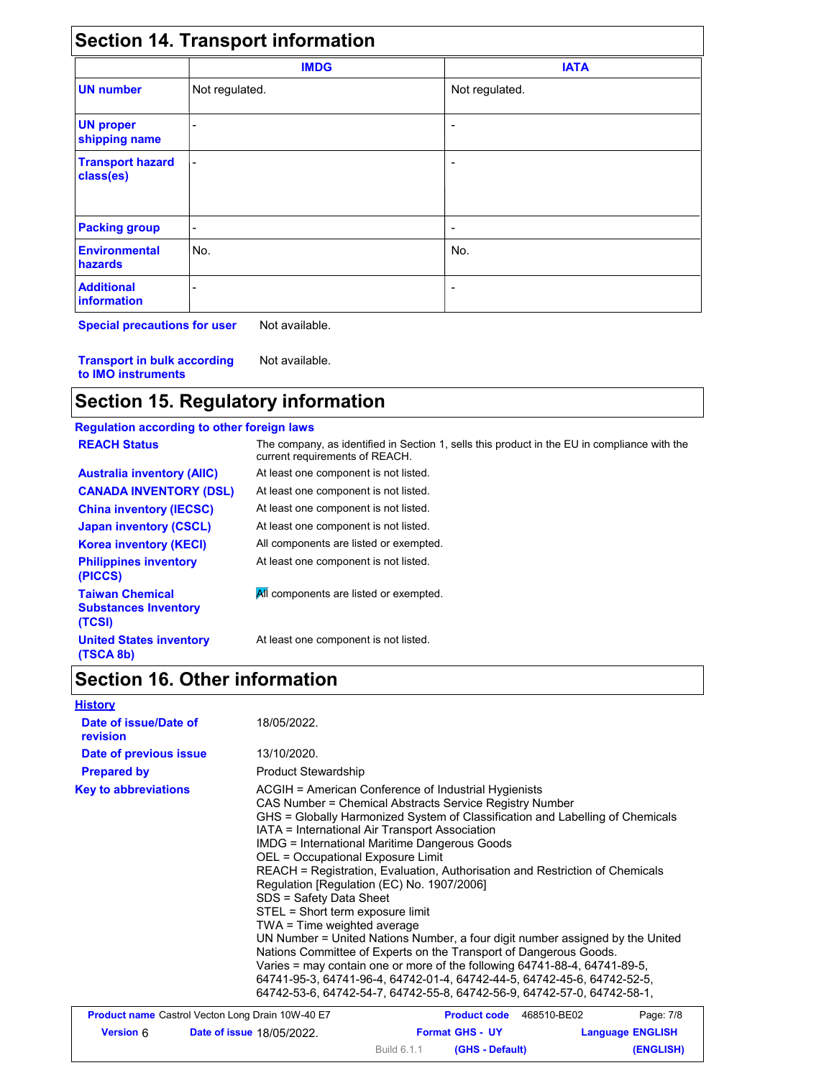## **Section 14. Transport information**

|                                      | $\sim$<br><b>IATA</b><br><b>IMDG</b> |                          |  |  |  |
|--------------------------------------|--------------------------------------|--------------------------|--|--|--|
| <b>UN number</b>                     | Not regulated.                       | Not regulated.           |  |  |  |
| <b>UN proper</b><br>shipping name    |                                      | -                        |  |  |  |
| <b>Transport hazard</b><br>class(es) | ٠                                    | -                        |  |  |  |
| <b>Packing group</b>                 | ٠                                    | ٠                        |  |  |  |
| <b>Environmental</b><br>hazards      | No.                                  | No.                      |  |  |  |
| <b>Additional</b><br>information     | ۰                                    | $\overline{\phantom{0}}$ |  |  |  |

**Special precautions for user** Not available.

**Transport in bulk according to IMO instruments** Not available.

# **Section 15. Regulatory information**

| <b>Regulation according to other foreign laws</b>               |                                                                                                                                |
|-----------------------------------------------------------------|--------------------------------------------------------------------------------------------------------------------------------|
| <b>REACH Status</b>                                             | The company, as identified in Section 1, sells this product in the EU in compliance with the<br>current requirements of REACH. |
| <b>Australia inventory (AIIC)</b>                               | At least one component is not listed.                                                                                          |
| <b>CANADA INVENTORY (DSL)</b>                                   | At least one component is not listed.                                                                                          |
| <b>China inventory (IECSC)</b>                                  | At least one component is not listed.                                                                                          |
| <b>Japan inventory (CSCL)</b>                                   | At least one component is not listed.                                                                                          |
| <b>Korea inventory (KECI)</b>                                   | All components are listed or exempted.                                                                                         |
| <b>Philippines inventory</b><br>(PICCS)                         | At least one component is not listed.                                                                                          |
| <b>Taiwan Chemical</b><br><b>Substances Inventory</b><br>(TCSI) | <b>All</b> components are listed or exempted.                                                                                  |
| <b>United States inventory</b><br>(TSCA 8b)                     | At least one component is not listed.                                                                                          |

# **Section 16. Other information**

| <b>History</b> |  |
|----------------|--|
|----------------|--|

18/05/2022.

| Date of issue/Date of<br>revision | 18/05/2022.                                                                                                                                                                                                                                                                                                                                                                                                                                                                                                                                                                                                                                                                                                                                                                                                                                                                                                                                                          |
|-----------------------------------|----------------------------------------------------------------------------------------------------------------------------------------------------------------------------------------------------------------------------------------------------------------------------------------------------------------------------------------------------------------------------------------------------------------------------------------------------------------------------------------------------------------------------------------------------------------------------------------------------------------------------------------------------------------------------------------------------------------------------------------------------------------------------------------------------------------------------------------------------------------------------------------------------------------------------------------------------------------------|
| Date of previous issue            | 13/10/2020.                                                                                                                                                                                                                                                                                                                                                                                                                                                                                                                                                                                                                                                                                                                                                                                                                                                                                                                                                          |
| <b>Prepared by</b>                | <b>Product Stewardship</b>                                                                                                                                                                                                                                                                                                                                                                                                                                                                                                                                                                                                                                                                                                                                                                                                                                                                                                                                           |
| <b>Key to abbreviations</b>       | ACGIH = American Conference of Industrial Hygienists<br>CAS Number = Chemical Abstracts Service Registry Number<br>GHS = Globally Harmonized System of Classification and Labelling of Chemicals<br>IATA = International Air Transport Association<br><b>IMDG</b> = International Maritime Dangerous Goods<br>OEL = Occupational Exposure Limit<br>REACH = Registration, Evaluation, Authorisation and Restriction of Chemicals<br>Regulation [Regulation (EC) No. 1907/2006]<br>SDS = Safety Data Sheet<br>STEL = Short term exposure limit<br>TWA = Time weighted average<br>UN Number = United Nations Number, a four digit number assigned by the United<br>Nations Committee of Experts on the Transport of Dangerous Goods.<br>Varies = may contain one or more of the following 64741-88-4, 64741-89-5,<br>64741-95-3, 64741-96-4, 64742-01-4, 64742-44-5, 64742-45-6, 64742-52-5,<br>64742-53-6, 64742-54-7, 64742-55-8, 64742-56-9, 64742-57-0, 64742-58-1, |

|                  | <b>Product name</b> Castrol Vecton Long Drain 10W-40 E7 | <b>Product code</b>            | 468510-BE02 | Page: 7/8               |
|------------------|---------------------------------------------------------|--------------------------------|-------------|-------------------------|
| <b>Version 6</b> | <b>Date of issue 18/05/2022.</b>                        | <b>Format GHS - UY</b>         |             | <b>Language ENGLISH</b> |
|                  |                                                         | Build 6.1.1<br>(GHS - Default) |             | (ENGLISH)               |